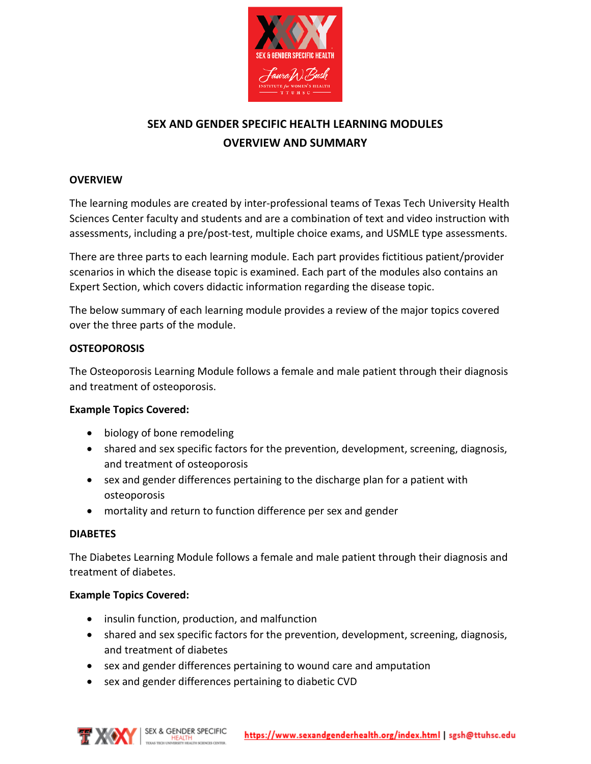

# **SEX AND GENDER SPECIFIC HEALTH LEARNING MODULES OVERVIEW AND SUMMARY**

# **OVERVIEW**

The learning modules are created by inter-professional teams of Texas Tech University Health Sciences Center faculty and students and are a combination of text and video instruction with assessments, including a pre/post-test, multiple choice exams, and USMLE type assessments.

There are three parts to each learning module. Each part provides fictitious patient/provider scenarios in which the disease topic is examined. Each part of the modules also contains an Expert Section, which covers didactic information regarding the disease topic.

The below summary of each learning module provides a review of the major topics covered over the three parts of the module.

#### **OSTEOPOROSIS**

The Osteoporosis Learning Module follows a female and male patient through their diagnosis and treatment of osteoporosis.

# **Example Topics Covered:**

- biology of bone remodeling
- shared and sex specific factors for the prevention, development, screening, diagnosis, and treatment of osteoporosis
- sex and gender differences pertaining to the discharge plan for a patient with osteoporosis
- mortality and return to function difference per sex and gender

# **DIABETES**

The Diabetes Learning Module follows a female and male patient through their diagnosis and treatment of diabetes.

#### **Example Topics Covered:**

- insulin function, production, and malfunction
- shared and sex specific factors for the prevention, development, screening, diagnosis, and treatment of diabetes
- sex and gender differences pertaining to wound care and amputation
- sex and gender differences pertaining to diabetic CVD